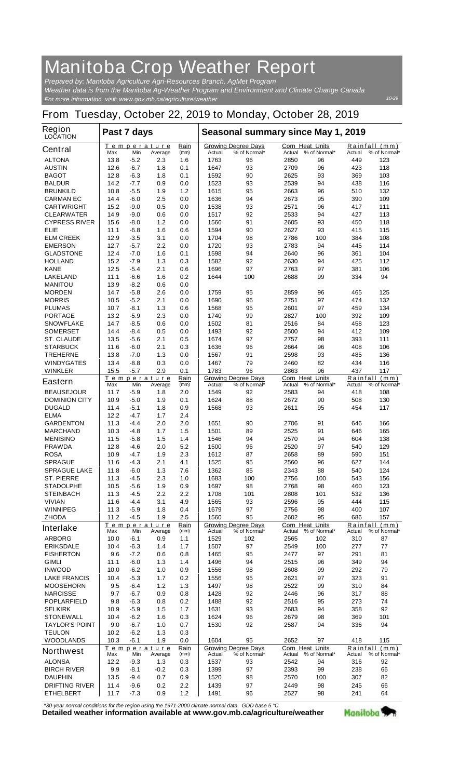## **Manitoba Crop Weather Report**

*For more information, visit: www.gov.mb.ca/agriculture/weather Prepared by: Manitoba Agriculture Agri-Resources Branch, AgMet Program Weather data is from the Manitoba Ag-Weather Program and Environment and Climate Change Canada*

## **From Tuesday, October 22, 2019 to Monday, October 28, 2019**

| <b>Region</b><br><b>LOCATION</b>       | Past 7 days  |                  |                               |              | Seasonal summary since May 1, 2019 |                                            |                                  |                     |               |                               |
|----------------------------------------|--------------|------------------|-------------------------------|--------------|------------------------------------|--------------------------------------------|----------------------------------|---------------------|---------------|-------------------------------|
| <b>Central</b>                         | Max          | Min              | Temperature<br>Average        | Rain<br>(mm) | Actual                             | <b>Growing Degree Days</b><br>% of Normal* | <b>Corn Heat Units</b><br>Actual | % of Normal*        | Actual        | Rainfall (mm)<br>% of Normal* |
| <b>ALTONA</b>                          | 13.8         | $-5.2$           | 2.3                           | 1.6          | 1763                               | 96                                         | 2850                             | 96                  | 449           | 123                           |
| <b>AUSTIN</b>                          | 12.6         | $-6.7$           | 1.8                           | 0.1          | 1647                               | 93                                         | 2709                             | 96                  | 423           | 118                           |
| <b>BAGOT</b>                           | 12.8         | $-6.3$           | 1.8                           | 0.1          | 1592                               | 90                                         | 2625                             | 93                  | 369           | 103                           |
| <b>BALDUR</b>                          | 14.2         | $-7.7$           | 0.9                           | 0.0          | 1523                               | 93                                         | 2539                             | 94                  | 438           | 116                           |
| <b>BRUNKILD</b>                        | 10.8         | $-5.5$           | 1.9                           | 1.2          | 1615                               | 95                                         | 2663                             | 96                  | 510           | 132                           |
| <b>CARMAN EC</b>                       | 14.4<br>15.2 | $-6.0$<br>$-9.0$ | 2.5<br>0.5                    | 0.0<br>0.0   | 1636<br>1538                       | 94<br>93                                   | 2673<br>2571                     | 95<br>96            | 390<br>417    | 109<br>111                    |
| <b>CARTWRIGHT</b><br><b>CLEARWATER</b> | 14.9         | $-9.0$           | 0.6                           | 0.0          | 1517                               | 92                                         | 2533                             | 94                  | 427           | 113                           |
| <b>CYPRESS RIVER</b>                   | 15.6         | $-8.0$           | 1.2                           | 0.0          | 1566                               | 91                                         | 2605                             | 93                  | 450           | 118                           |
| ELIE                                   | 11.1         | $-6.8$           | 1.6                           | 0.6          | 1594                               | 90                                         | 2627                             | 93                  | 415           | 115                           |
| <b>ELM CREEK</b>                       | 12.9         | $-3.5$           | 3.1                           | 0.0          | 1704                               | 98                                         | 2786                             | 100                 | 384           | 108                           |
| <b>EMERSON</b>                         | 12.7         | $-5.7$           | 2.2                           | 0.0          | 1720                               | 93                                         | 2783                             | 94                  | 445           | 114                           |
| <b>GLADSTONE</b>                       | 12.4         | $-7.0$           | 1.6                           | 0.1          | 1598                               | 94                                         | 2640                             | 96                  | 361           | 104                           |
| <b>HOLLAND</b>                         | 15.2         | $-7.9$           | 1.3                           | 0.3          | 1582                               | 92                                         | 2630                             | 94                  | 425           | 112                           |
| <b>KANE</b>                            | 12.5         | $-5.4$           | 2.1                           | 0.6          | 1696                               | 97                                         | 2763                             | 97                  | 381           | 106                           |
| <b>LAKELAND</b><br><b>MANITOU</b>      | 11.1<br>13.9 | $-6.6$<br>-8.2   | 1.6<br>0.6                    | 0.2<br>0.0   | 1644                               | 100                                        | 2688                             | 99                  | 334           | 94                            |
| <b>MORDEN</b>                          | 14.7         | $-5.8$           | 2.6                           | 0.0          | 1759                               | 95                                         | 2859                             | 96                  | 465           | 125                           |
| <b>MORRIS</b>                          | 10.5         | $-5.2$           | 2.1                           | 0.0          | 1690                               | 96                                         | 2751                             | 97                  | 474           | 132                           |
| <b>PLUMAS</b>                          | 10.7         | -8.1             | 1.3                           | 0.6          | 1568                               | 95                                         | 2601                             | 97                  | 459           | 134                           |
| <b>PORTAGE</b>                         | 13.2         | $-5.9$           | 2.3                           | 0.0          | 1740                               | 99                                         | 2827                             | 100                 | 392           | 109                           |
| <b>SNOWFLAKE</b>                       | 14.7         | $-8.5$           | 0.6                           | 0.0          | 1502                               | 81                                         | 2516                             | 84                  | 458           | 123                           |
| <b>SOMERSET</b>                        | 14.4         | $-8.4$           | 0.5                           | 0.0          | 1493                               | 92                                         | 2500                             | 94                  | 412           | 109                           |
| <b>ST. CLAUDE</b>                      | 13.5         | -5.6             | 2.1                           | 0.5          | 1674                               | 97                                         | 2757                             | 98                  | 393           | 111                           |
| <b>STARBUCK</b>                        | 11.6         | $-6.0$           | 2.1                           | 0.3          | 1636                               | 96                                         | 2664                             | 96                  | 408           | 106                           |
| <b>TREHERNE</b><br><b>WINDYGATES</b>   | 13.8<br>13.4 | $-7.0$<br>$-8.8$ | 1.3<br>0.3                    | 0.0<br>0.0   | 1567<br>1467                       | 91<br>79                                   | 2598<br>2460                     | 93<br>82            | 485<br>434    | 136<br>116                    |
| <b>WINKLER</b>                         | 15.5         | $-5.7$           | 2.9                           | 0.1          | 1783                               | 96                                         | 2863                             | 96                  | 437           | 117                           |
| <b>Eastern</b>                         |              |                  | <u>Temperature</u>            | Rain         |                                    | <b>Growing Degree Days</b>                 | <b>Corn Heat Units</b>           |                     |               | Rainfall (mm)                 |
| <b>BEAUSEJOUR</b>                      | Max<br>11.7  | Min<br>$-5.9$    | Average<br>1.8                | (mm)<br>2.0  | Actual<br>1549                     | % of Normal*<br>92                         | Actual<br>2583                   | % of Normal*<br>94  | Actual<br>418 | % of Normal*<br>108           |
| <b>DOMINION CITY</b>                   | 10.9         | $-5.0$           | 1.9                           | 0.1          | 1624                               | 88                                         | 2672                             | 90                  | 508           | 130                           |
| <b>DUGALD</b>                          | 11.4         | $-5.1$           | 1.8                           | 0.9          | 1568                               | 93                                         | 2611                             | 95                  | 454           | 117                           |
| <b>ELMA</b>                            | 12.2         | $-4.7$           | 1.7                           | 2.4          |                                    |                                            |                                  |                     |               |                               |
| <b>GARDENTON</b>                       | 11.3         | $-4.4$           | 2.0                           | 2.0          | 1651                               | 90                                         | 2706                             | 91                  | 646           | 166                           |
| <b>MARCHAND</b>                        | 10.3         | $-4.8$           | 1.7                           | 1.5          | 1501                               | 89                                         | 2525                             | 91                  | 646           | 165                           |
| <b>MENISINO</b>                        | 11.5         | $-5.8$           | 1.5                           | 1.4          | 1546                               | 94                                         | 2570                             | 94                  | 604           | 138                           |
| <b>PRAWDA</b>                          | 12.8         | $-4.6$           | 2.0                           | 5.2          | 1500                               | 96                                         | 2520                             | 97                  | 540           | 129<br>151                    |
| <b>ROSA</b><br><b>SPRAGUE</b>          | 10.9<br>11.6 | -4.7<br>$-4.3$   | 1.9<br>2.1                    | 2.3<br>4.1   | 1612<br>1525                       | 87<br>95                                   | 2658<br>2560                     | 89<br>96            | 590<br>627    | 144                           |
| <b>SPRAGUE LAKE</b>                    | 11.8         | $-6.0$           | 1.3                           | 7.6          | 1362                               | 85                                         | 2343                             | 88                  | 540           | 124                           |
| <b>ST. PIERRE</b>                      | 11.3         | $-4.5$           | 2.3                           | 1.0          | 1683                               | 100                                        | 2756                             | 100                 | 543           | 156                           |
| <b>STADOLPHE</b>                       | 10.5         | $-5.6$           | 1.9                           | 0.9          | 1697                               | 98                                         | 2768                             | 98                  | 460           | 123                           |
| <b>STEINBACH</b>                       | 11.3         | -4.5             | 2.2                           | 2.2          | 1708                               | 101                                        | 2808                             | 101                 | 532           | 136                           |
| <b>VIVIAN</b>                          | 11.6         | -4.4             | 3.1                           | 4.9          | 1565                               | 93                                         | 2596                             | 95                  | 444           | 115                           |
| <b>WINNIPEG</b>                        | 11.3         | $-5.9$           | 1.8                           | 0.4          | 1679                               | 97                                         | 2756                             | 98                  | 400           | 107                           |
| <b>ZHODA</b>                           | 11.2         | $-4.5$           | 1.9                           | 2.5          | 1560                               | 95                                         | 2602                             | 95                  | 686           | 157                           |
| <b>Interlake</b>                       | Max          | Min              | <u>Temperature</u><br>Average | Rain<br>(mm) | Actual                             | <b>Growing Degree Days</b><br>% of Normal* | Corn Heat Units                  | Actual % of Normal* | Actual        | Rainfall (mm)<br>% of Normal* |
| <b>ARBORG</b>                          | 10.0         | $-6.1$           | 0.9                           | 1.1          | 1529                               | 102                                        | 2565                             | 102                 | 310           | 87                            |
| <b>ERIKSDALE</b>                       | 10.4         | $-6.3$           | 1.4                           | 1.7          | 1507                               | 97                                         | 2549                             | 100                 | 277           | 77                            |
| <b>FISHERTON</b>                       | 9.6          | $-7.2$           | 0.6                           | 0.8          | 1465                               | 95                                         | 2477                             | 97                  | 291           | 81                            |
| GIMLI                                  | 11.1         | $-6.0$           | 1.3                           | 1.4          | 1496                               | 94                                         | 2515                             | 96                  | 349           | 94                            |
| <b>INWOOD</b>                          | 10.0         | $-6.2$           | 1.0                           | 0.9          | 1556                               | 98                                         | 2608                             | 99                  | 292           | 79                            |
| <b>LAKE FRANCIS</b>                    | 10.4         | $-5.3$           | 1.7<br>$1.2$                  | 0.2          | 1556                               | 95                                         | 2621<br>2522                     | 97                  | 323           | 91                            |
| <b>MOOSEHORN</b><br><b>NARCISSE</b>    | 9.5<br>9.7   | -6.4<br>-6.7     | 0.9                           | 1.3<br>0.8   | 1497<br>1428                       | 98<br>92                                   | 2446                             | 99<br>96            | 310<br>317    | 84<br>88                      |
| <b>POPLARFIELD</b>                     | 9.8          | $-6.3$           | 0.8                           | 0.2          | 1488                               | 92                                         | 2516                             | 95                  | 273           | 74                            |
| <b>SELKIRK</b>                         | 10.9         | $-5.9$           | 1.5                           | 1.7          | 1631                               | 93                                         | 2683                             | 94                  | 358           | 92                            |
| <b>STONEWALL</b>                       | 10.4         | $-6.2$           | 1.6                           | 0.3          | 1624                               | 96                                         | 2679                             | 98                  | 369           | 101                           |
| <b>TAYLOR'S POINT</b>                  | 9.0          | -6.7             | 1.0                           | 0.7          | 1530                               | 92                                         | 2587                             | 94                  | 336           | 94                            |
| <b>TEULON</b>                          | 10.2         | $-6.2$           | 1.3                           | 0.3          |                                    |                                            |                                  |                     |               |                               |
| <b>WOODLANDS</b>                       | 10.3         | $-6.1$           | 1.9                           | 0.0          | 1604                               | 95                                         | 2652                             | 97                  | 418           | 115                           |
| <b>Northwest</b>                       | Max          | Min              | Temperature<br>Average        | Rain<br>(mm) | Actual                             | <b>Growing Degree Days</b><br>% of Normal* | Corn Heat Units                  | Actual % of Normal* | Actual        | Rainfall (mm)<br>% of Normal* |
| <b>ALONSA</b>                          | 12.2         | $-9.3$           | 1.3                           | 0.3          | 1537                               | 93                                         | 2542                             | 94                  | 316           | 92                            |
| <b>BIRCH RIVER</b>                     | 9.9          | -8.1             | $-0.2$                        | 0.3          | 1399                               | 97                                         | 2393                             | 99                  | 238           | 66                            |
| <b>DAUPHIN</b>                         | 13.5         | -9.4             | 0.7                           | 0.9          | 1520                               | 98                                         | 2570                             | 100                 | 307           | 82                            |
| <b>DRIFTING RIVER</b>                  | 11.4         | $-9.6$           | 0.2                           | $2.2\,$      | 1439                               | 97                                         | 2449                             | 98                  | 245           | 66                            |
| <b>ETHELBERT</b>                       | 11.7         | $-7.3$           | 0.9                           | $1.2$        | 1491                               | 96                                         | 2527                             | 98                  | 241           | 64                            |

*\*30-year normal conditions for the region using the 1971-2000 climate normal data. GDD base 5 °C*<br>Detailed weather information available at www.gov.mb.ca/agriculture/weather

Manitoba<sup>9</sup>